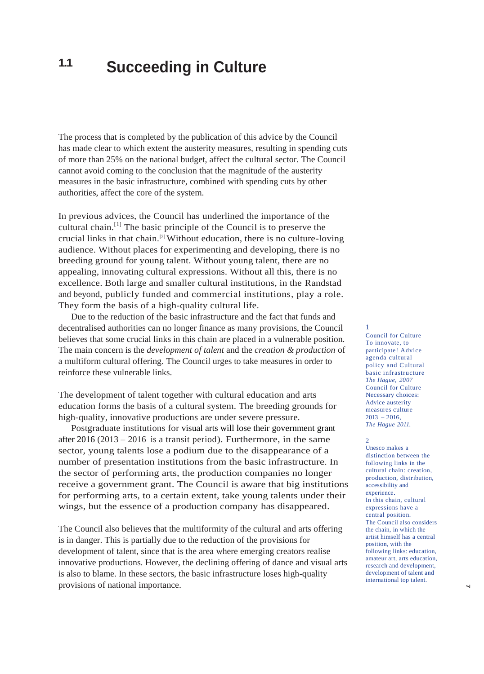# **1.1 Succeeding in Culture**

The process that is completed by the publication of this advice by the Council has made clear to which extent the austerity measures, resulting in spending cuts of more than 25% on the national budget, affect the cultural sector. The Council cannot avoid coming to the conclusion that the magnitude of the austerity measures in the basic infrastructure, combined with spending cuts by other authorities, affect the core of the system.

In previous advices, the Council has underlined the importance of the cultural chain.[1] The basic principle of the Council is to preserve the crucial links in that chain.[2]Without education, there is no culture-loving audience. Without places for experimenting and developing, there is no breeding ground for young talent. Without young talent, there are no appealing, innovating cultural expressions. Without all this, there is no excellence. Both large and smaller cultural institutions, in the Randstad and beyond, publicly funded and commercial institutions, play a role. They form the basis of a high-quality cultural life.

Due to the reduction of the basic infrastructure and the fact that funds and decentralised authorities can no longer finance as many provisions, the Council believes that some crucial links in this chain are placed in a vulnerable position. The main concern is the *development of talent* and the *creation & production* of a multiform cultural offering. The Council urges to take measures in order to reinforce these vulnerable links.

The development of talent together with cultural education and arts education forms the basis of a cultural system. The breeding grounds for high-quality, innovative productions are under severe pressure.

Postgraduate institutions for visual arts will lose their government grant after 2016 (2013 – 2016 is a transit period). Furthermore, in the same sector, young talents lose a podium due to the disappearance of a number of presentation institutions from the basic infrastructure. In the sector of performing arts, the production companies no longer receive a government grant. The Council is aware that big institutions for performing arts, to a certain extent, take young talents under their wings, but the essence of a production company has disappeared.

The Council also believes that the multiformity of the cultural and arts offering is in danger. This is partially due to the reduction of the provisions for development of talent, since that is the area where emerging creators realise innovative productions. However, the declining offering of dance and visual arts is also to blame. In these sectors, the basic infrastructure loses high-quality provisions of national importance.

#### 1

Council for Culture To innovate, to participate! Advice agenda cultural policy and Cultural basic infrastructure *The Hague, 2007* Council for Culture Necessary choices: Advice austerity measures culture  $2013 - 2016$ *The Hague 2011*.

#### 2

Unesco makes a distinction between the following links in the cultural chain: creation, production, distribution, accessibility and experience. In this chain, cultural expressions have a central position. The Council also considers the chain, in which the artist himself has a central position, with the following links: education, amateur art, arts education, research and development, development of talent and international top talent.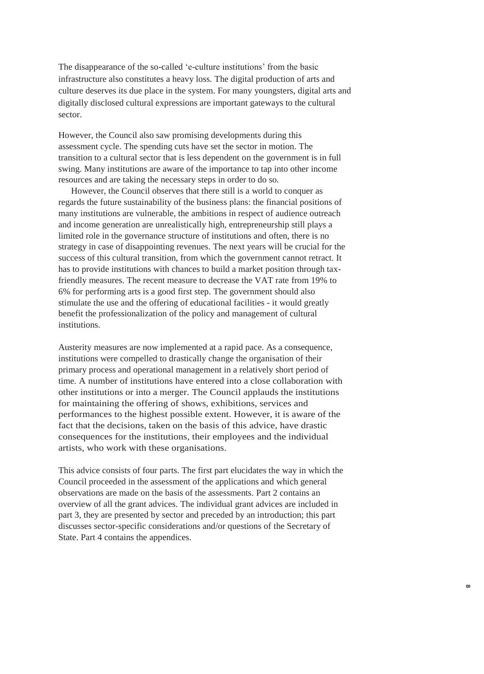The disappearance of the so-called 'e-culture institutions' from the basic infrastructure also constitutes a heavy loss. The digital production of arts and culture deserves its due place in the system. For many youngsters, digital arts and digitally disclosed cultural expressions are important gateways to the cultural sector.

However, the Council also saw promising developments during this assessment cycle. The spending cuts have set the sector in motion. The transition to a cultural sector that is less dependent on the government is in full swing. Many institutions are aware of the importance to tap into other income resources and are taking the necessary steps in order to do so.

However, the Council observes that there still is a world to conquer as regards the future sustainability of the business plans: the financial positions of many institutions are vulnerable, the ambitions in respect of audience outreach and income generation are unrealistically high, entrepreneurship still plays a limited role in the governance structure of institutions and often, there is no strategy in case of disappointing revenues. The next years will be crucial for the success of this cultural transition, from which the government cannot retract. It has to provide institutions with chances to build a market position through taxfriendly measures. The recent measure to decrease the VAT rate from 19% to 6% for performing arts is a good first step. The government should also stimulate the use and the offering of educational facilities - it would greatly benefit the professionalization of the policy and management of cultural institutions.

Austerity measures are now implemented at a rapid pace. As a consequence, institutions were compelled to drastically change the organisation of their primary process and operational management in a relatively short period of time. A number of institutions have entered into a close collaboration with other institutions or into a merger. The Council applauds the institutions for maintaining the offering of shows, exhibitions, services and performances to the highest possible extent. However, it is aware of the fact that the decisions, taken on the basis of this advice, have drastic consequences for the institutions, their employees and the individual artists, who work with these organisations.

This advice consists of four parts. The first part elucidates the way in which the Council proceeded in the assessment of the applications and which general observations are made on the basis of the assessments. Part 2 contains an overview of all the grant advices. The individual grant advices are included in part 3, they are presented by sector and preceded by an introduction; this part discusses sector-specific considerations and/or questions of the Secretary of State. Part 4 contains the appendices.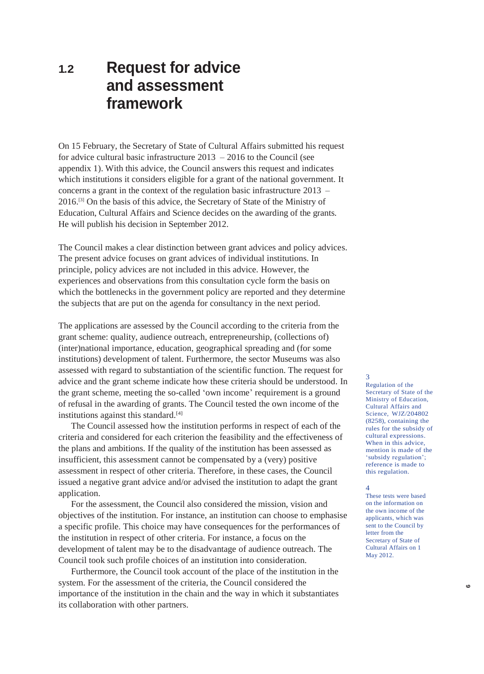### **1.2 Request for advice and assessment framework**

On 15 February, the Secretary of State of Cultural Affairs submitted his request for advice cultural basic infrastructure  $2013 - 2016$  to the Council (see appendix 1). With this advice, the Council answers this request and indicates which institutions it considers eligible for a grant of the national government. It concerns a grant in the context of the regulation basic infrastructure 2013 – 2016. [3] On the basis of this advice, the Secretary of State of the Ministry of Education, Cultural Affairs and Science decides on the awarding of the grants. He will publish his decision in September 2012.

The Council makes a clear distinction between grant advices and policy advices. The present advice focuses on grant advices of individual institutions. In principle, policy advices are not included in this advice. However, the experiences and observations from this consultation cycle form the basis on which the bottlenecks in the government policy are reported and they determine the subjects that are put on the agenda for consultancy in the next period.

The applications are assessed by the Council according to the criteria from the grant scheme: quality, audience outreach, entrepreneurship, (collections of) (inter)national importance, education, geographical spreading and (for some institutions) development of talent. Furthermore, the sector Museums was also assessed with regard to substantiation of the scientific function. The request for advice and the grant scheme indicate how these criteria should be understood. In the grant scheme, meeting the so-called 'own income' requirement is a ground of refusal in the awarding of grants. The Council tested the own income of the institutions against this standard.<sup>[4]</sup>

The Council assessed how the institution performs in respect of each of the criteria and considered for each criterion the feasibility and the effectiveness of the plans and ambitions. If the quality of the institution has been assessed as insufficient, this assessment cannot be compensated by a (very) positive assessment in respect of other criteria. Therefore, in these cases, the Council issued a negative grant advice and/or advised the institution to adapt the grant application.

For the assessment, the Council also considered the mission, vision and objectives of the institution. For instance, an institution can choose to emphasise a specific profile. This choice may have consequences for the performances of the institution in respect of other criteria. For instance, a focus on the development of talent may be to the disadvantage of audience outreach. The Council took such profile choices of an institution into consideration.

Furthermore, the Council took account of the place of the institution in the system. For the assessment of the criteria, the Council considered the importance of the institution in the chain and the way in which it substantiates its collaboration with other partners.

3

Regulation of the Secretary of State of the Ministry of Education, Cultural Affairs and Science, WJZ/204802 (8258), containing the rules for the subsidy of cultural expressions. When in this advice, mention is made of the 'subsidy regulation'; reference is made to this regulation.

#### 4

These tests were based on the information on the own income of the applicants, which was sent to the Council by letter from the Secretary of State of Cultural Affairs on 1 May 2012.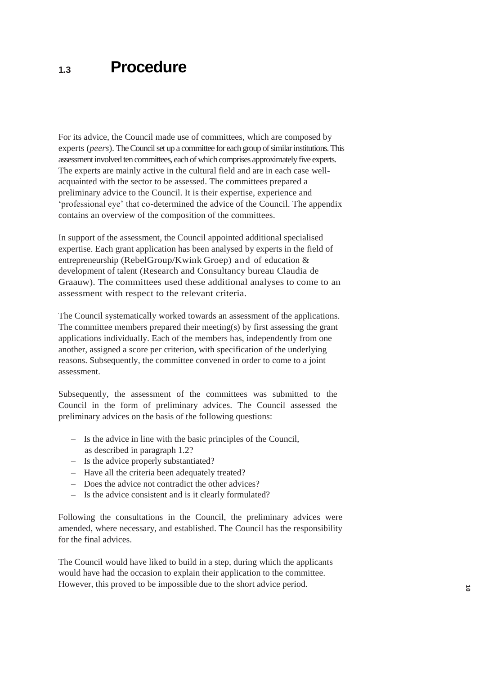### **1.3 Procedure**

For its advice, the Council made use of committees, which are composed by experts (*peers*). The Council set up a committee for each group of similar institutions. This assessment involved ten committees, each of which comprises approximately five experts. The experts are mainly active in the cultural field and are in each case wellacquainted with the sector to be assessed. The committees prepared a preliminary advice to the Council. It is their expertise, experience and 'professional eye' that co-determined the advice of the Council. The appendix contains an overview of the composition of the committees.

In support of the assessment, the Council appointed additional specialised expertise. Each grant application has been analysed by experts in the field of entrepreneurship (RebelGroup/Kwink Groep) and of education & development of talent (Research and Consultancy bureau Claudia de Graauw). The committees used these additional analyses to come to an assessment with respect to the relevant criteria.

The Council systematically worked towards an assessment of the applications. The committee members prepared their meeting(s) by first assessing the grant applications individually. Each of the members has, independently from one another, assigned a score per criterion, with specification of the underlying reasons. Subsequently, the committee convened in order to come to a joint assessment.

Subsequently, the assessment of the committees was submitted to the Council in the form of preliminary advices. The Council assessed the preliminary advices on the basis of the following questions:

- Is the advice in line with the basic principles of the Council, as described in paragraph 1.2?
- Is the advice properly substantiated?
- Have all the criteria been adequately treated?
- $\sim$  Does the advice not contradict the other advices?
- Is the advice consistent and is it clearly formulated?

Following the consultations in the Council, the preliminary advices were amended, where necessary, and established. The Council has the responsibility for the final advices.

The Council would have liked to build in a step, during which the applicants would have had the occasion to explain their application to the committee. However, this proved to be impossible due to the short advice period.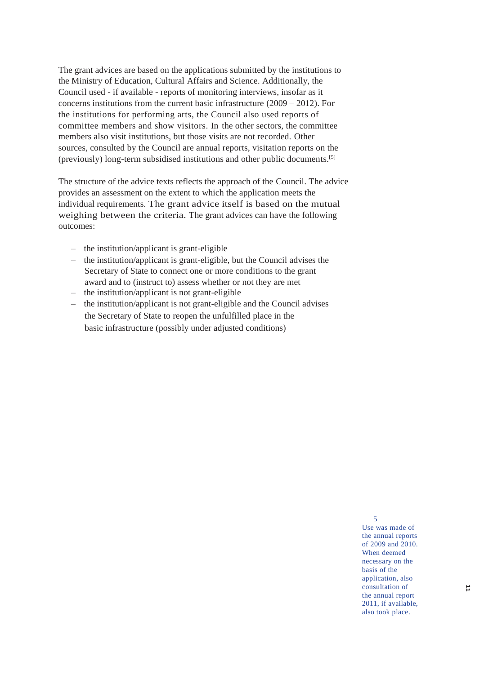The grant advices are based on the applications submitted by the institutions to the Ministry of Education, Cultural Affairs and Science. Additionally, the Council used - if available - reports of monitoring interviews, insofar as it concerns institutions from the current basic infrastructure (2009 – 2012). For the institutions for performing arts, the Council also used reports of committee members and show visitors. In the other sectors, the committee members also visit institutions, but those visits are not recorded. Other sources, consulted by the Council are annual reports, visitation reports on the (previously) long-term subsidised institutions and other public documents. [5]

The structure of the advice texts reflects the approach of the Council. The advice provides an assessment on the extent to which the application meets the individual requirements. The grant advice itself is based on the mutual weighing between the criteria. The grant advices can have the following outcomes:

- the institution/applicant is grant-eligible
- the institution/applicant is grant-eligible, but the Council advises the Secretary of State to connect one or more conditions to the grant award and to (instruct to) assess whether or not they are met
- the institution/applicant is not grant-eligible
- the institution/applicant is not grant-eligible and the Council advises the Secretary of State to reopen the unfulfilled place in the basic infrastructure (possibly under adjusted conditions)

5

Use was made of the annual reports of 2009 and 2010. When deemed necessary on the basis of the application, also consultation of the annual report 2011, if available, also took place.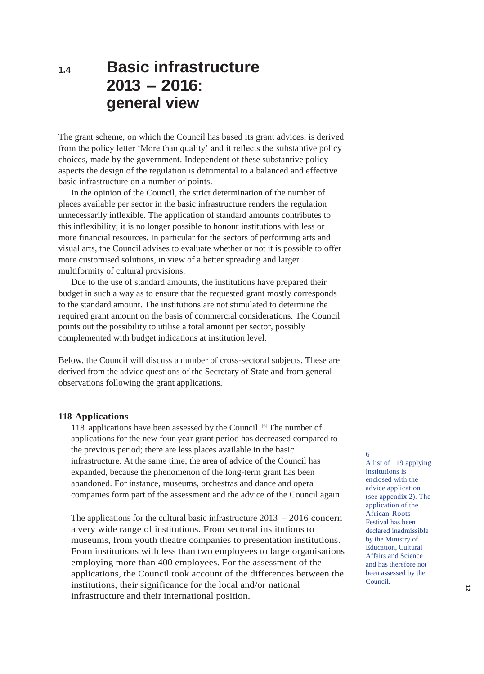## **1.4 Basic infrastructure 2013 – 2016: general view**

The grant scheme, on which the Council has based its grant advices, is derived from the policy letter 'More than quality' and it reflects the substantive policy choices, made by the government. Independent of these substantive policy aspects the design of the regulation is detrimental to a balanced and effective basic infrastructure on a number of points.

In the opinion of the Council, the strict determination of the number of places available per sector in the basic infrastructure renders the regulation unnecessarily inflexible. The application of standard amounts contributes to this inflexibility; it is no longer possible to honour institutions with less or more financial resources. In particular for the sectors of performing arts and visual arts, the Council advises to evaluate whether or not it is possible to offer more customised solutions, in view of a better spreading and larger multiformity of cultural provisions.

Due to the use of standard amounts, the institutions have prepared their budget in such a way as to ensure that the requested grant mostly corresponds to the standard amount. The institutions are not stimulated to determine the required grant amount on the basis of commercial considerations. The Council points out the possibility to utilise a total amount per sector, possibly complemented with budget indications at institution level.

Below, the Council will discuss a number of cross-sectoral subjects. These are derived from the advice questions of the Secretary of State and from general observations following the grant applications.

### **118 Applications**

118 applications have been assessed by the Council. <sup>[6]</sup> The number of applications for the new four-year grant period has decreased compared to the previous period; there are less places available in the basic infrastructure. At the same time, the area of advice of the Council has expanded, because the phenomenon of the long-term grant has been abandoned. For instance, museums, orchestras and dance and opera companies form part of the assessment and the advice of the Council again.

The applications for the cultural basic infrastructure  $2013 - 2016$  concern a very wide range of institutions. From sectoral institutions to museums, from youth theatre companies to presentation institutions. From institutions with less than two employees to large organisations employing more than 400 employees. For the assessment of the applications, the Council took account of the differences between the institutions, their significance for the local and/or national infrastructure and their international position.

#### 6

A list of 119 applying institutions is enclosed with the advice application (see appendix 2). The application of the African Roots Festival has been declared inadmissible by the Ministry of Education, Cultural Affairs and Science and has therefore not been assessed by the Council.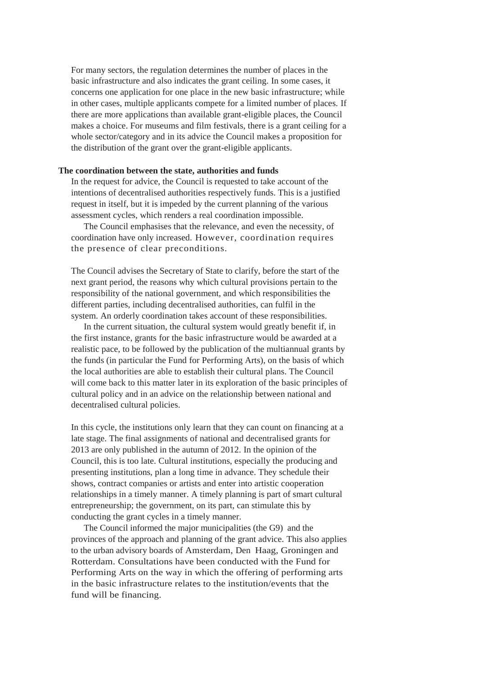For many sectors, the regulation determines the number of places in the basic infrastructure and also indicates the grant ceiling. In some cases, it concerns one application for one place in the new basic infrastructure; while in other cases, multiple applicants compete for a limited number of places. If there are more applications than available grant-eligible places, the Council makes a choice. For museums and film festivals, there is a grant ceiling for a whole sector/category and in its advice the Council makes a proposition for the distribution of the grant over the grant-eligible applicants.

### **The coordination between the state, authorities and funds**

In the request for advice, the Council is requested to take account of the intentions of decentralised authorities respectively funds. This is a justified request in itself, but it is impeded by the current planning of the various assessment cycles, which renders a real coordination impossible.

The Council emphasises that the relevance, and even the necessity, of coordination have only increased. However, coordination requires the presence of clear preconditions.

The Council advises the Secretary of State to clarify, before the start of the next grant period, the reasons why which cultural provisions pertain to the responsibility of the national government, and which responsibilities the different parties, including decentralised authorities, can fulfil in the system. An orderly coordination takes account of these responsibilities.

In the current situation, the cultural system would greatly benefit if, in the first instance, grants for the basic infrastructure would be awarded at a realistic pace, to be followed by the publication of the multiannual grants by the funds (in particular the Fund for Performing Arts), on the basis of which the local authorities are able to establish their cultural plans. The Council will come back to this matter later in its exploration of the basic principles of cultural policy and in an advice on the relationship between national and decentralised cultural policies.

In this cycle, the institutions only learn that they can count on financing at a late stage. The final assignments of national and decentralised grants for 2013 are only published in the autumn of 2012. In the opinion of the Council, this is too late. Cultural institutions, especially the producing and presenting institutions, plan a long time in advance. They schedule their shows, contract companies or artists and enter into artistic cooperation relationships in a timely manner. A timely planning is part of smart cultural entrepreneurship; the government, on its part, can stimulate this by conducting the grant cycles in a timely manner.

The Council informed the major municipalities (the G9) and the provinces of the approach and planning of the grant advice. This also applies to the urban advisory boards of Amsterdam, Den Haag, Groningen and Rotterdam. Consultations have been conducted with the Fund for Performing Arts on the way in which the offering of performing arts in the basic infrastructure relates to the institution/events that the fund will be financing.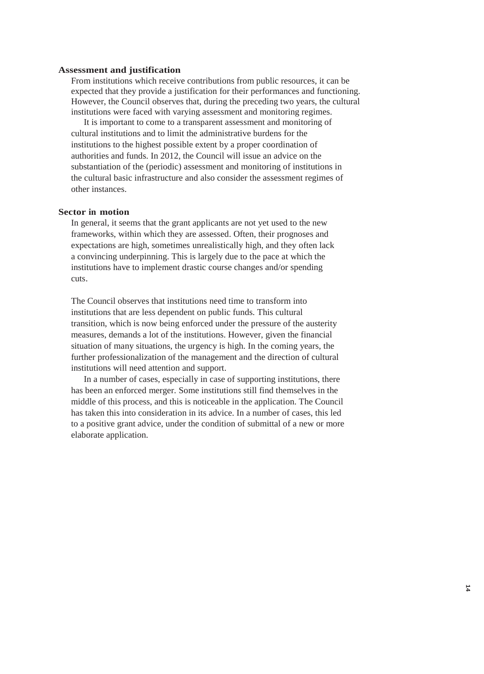### **Assessment and justification**

From institutions which receive contributions from public resources, it can be expected that they provide a justification for their performances and functioning. However, the Council observes that, during the preceding two years, the cultural institutions were faced with varying assessment and monitoring regimes.

It is important to come to a transparent assessment and monitoring of cultural institutions and to limit the administrative burdens for the institutions to the highest possible extent by a proper coordination of authorities and funds. In 2012, the Council will issue an advice on the substantiation of the (periodic) assessment and monitoring of institutions in the cultural basic infrastructure and also consider the assessment regimes of other instances.

#### **Sector in motion**

In general, it seems that the grant applicants are not yet used to the new frameworks, within which they are assessed. Often, their prognoses and expectations are high, sometimes unrealistically high, and they often lack a convincing underpinning. This is largely due to the pace at which the institutions have to implement drastic course changes and/or spending cuts.

The Council observes that institutions need time to transform into institutions that are less dependent on public funds. This cultural transition, which is now being enforced under the pressure of the austerity measures, demands a lot of the institutions. However, given the financial situation of many situations, the urgency is high. In the coming years, the further professionalization of the management and the direction of cultural institutions will need attention and support.

In a number of cases, especially in case of supporting institutions, there has been an enforced merger. Some institutions still find themselves in the middle of this process, and this is noticeable in the application. The Council has taken this into consideration in its advice. In a number of cases, this led to a positive grant advice, under the condition of submittal of a new or more elaborate application.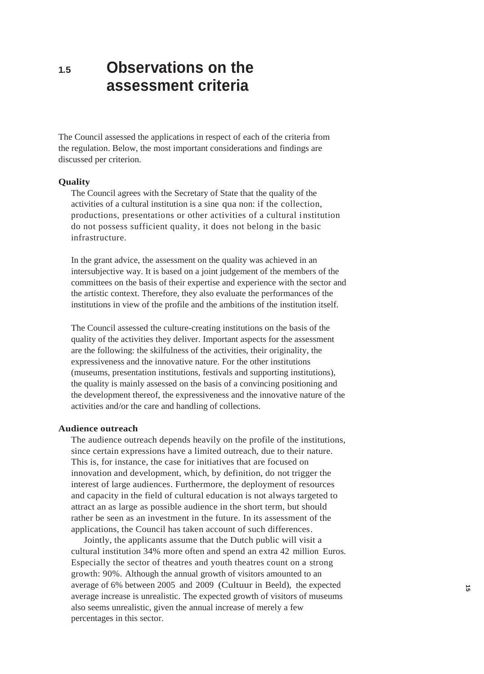### **1.5 Observations on the assessment criteria**

The Council assessed the applications in respect of each of the criteria from the regulation. Below, the most important considerations and findings are discussed per criterion.

### **Quality**

The Council agrees with the Secretary of State that the quality of the activities of a cultural institution is a sine qua non: if the collection, productions, presentations or other activities of a cultural institution do not possess sufficient quality, it does not belong in the basic infrastructure.

In the grant advice, the assessment on the quality was achieved in an intersubjective way. It is based on a joint judgement of the members of the committees on the basis of their expertise and experience with the sector and the artistic context. Therefore, they also evaluate the performances of the institutions in view of the profile and the ambitions of the institution itself.

The Council assessed the culture-creating institutions on the basis of the quality of the activities they deliver. Important aspects for the assessment are the following: the skilfulness of the activities, their originality, the expressiveness and the innovative nature. For the other institutions (museums, presentation institutions, festivals and supporting institutions), the quality is mainly assessed on the basis of a convincing positioning and the development thereof, the expressiveness and the innovative nature of the activities and/or the care and handling of collections.

### **Audience outreach**

The audience outreach depends heavily on the profile of the institutions, since certain expressions have a limited outreach, due to their nature. This is, for instance, the case for initiatives that are focused on innovation and development, which, by definition, do not trigger the interest of large audiences. Furthermore, the deployment of resources and capacity in the field of cultural education is not always targeted to attract an as large as possible audience in the short term, but should rather be seen as an investment in the future. In its assessment of the applications, the Council has taken account of such differences.

Jointly, the applicants assume that the Dutch public will visit a cultural institution 34% more often and spend an extra 42 million Euros. Especially the sector of theatres and youth theatres count on a strong growth: 90%. Although the annual growth of visitors amounted to an average of 6% between 2005 and 2009 (Cultuur in Beeld), the expected average increase is unrealistic. The expected growth of visitors of museums also seems unrealistic, given the annual increase of merely a few percentages in this sector.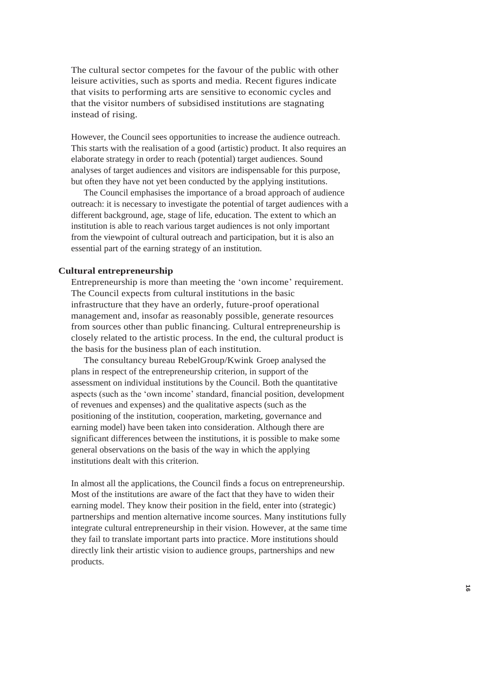The cultural sector competes for the favour of the public with other leisure activities, such as sports and media. Recent figures indicate that visits to performing arts are sensitive to economic cycles and that the visitor numbers of subsidised institutions are stagnating instead of rising.

However, the Council sees opportunities to increase the audience outreach. This starts with the realisation of a good (artistic) product. It also requires an elaborate strategy in order to reach (potential) target audiences. Sound analyses of target audiences and visitors are indispensable for this purpose, but often they have not yet been conducted by the applying institutions.

The Council emphasises the importance of a broad approach of audience outreach: it is necessary to investigate the potential of target audiences with a different background, age, stage of life, education. The extent to which an institution is able to reach various target audiences is not only important from the viewpoint of cultural outreach and participation, but it is also an essential part of the earning strategy of an institution.

### **Cultural entrepreneurship**

Entrepreneurship is more than meeting the 'own income' requirement. The Council expects from cultural institutions in the basic infrastructure that they have an orderly, future-proof operational management and, insofar as reasonably possible, generate resources from sources other than public financing. Cultural entrepreneurship is closely related to the artistic process. In the end, the cultural product is the basis for the business plan of each institution.

The consultancy bureau RebelGroup/Kwink Groep analysed the plans in respect of the entrepreneurship criterion, in support of the assessment on individual institutions by the Council. Both the quantitative aspects (such as the 'own income' standard, financial position, development of revenues and expenses) and the qualitative aspects (such as the positioning of the institution, cooperation, marketing, governance and earning model) have been taken into consideration. Although there are significant differences between the institutions, it is possible to make some general observations on the basis of the way in which the applying institutions dealt with this criterion.

In almost all the applications, the Council finds a focus on entrepreneurship. Most of the institutions are aware of the fact that they have to widen their earning model. They know their position in the field, enter into (strategic) partnerships and mention alternative income sources. Many institutions fully integrate cultural entrepreneurship in their vision. However, at the same time they fail to translate important parts into practice. More institutions should directly link their artistic vision to audience groups, partnerships and new products.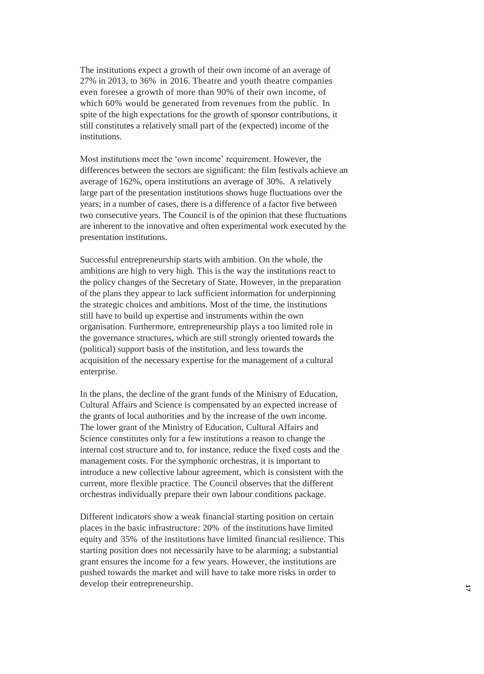The institutions expect a growth of their own income of an average of 27% in 2013, to 36% in 2016. Theatre and youth theatre companies even foresee a growth of more than 90% of their own income, of which 60% would be generated from revenues from the public. In spite of the high expectations for the growth of sponsor contributions, it still constitutes a relatively small part of the (expected) income of the institutions.

Most institutions meet the 'own income' requirement. However, the differences between the sectors are significant: the film festivals achieve an average of 162%, opera institutions an average of 30%. A relatively large part of the presentation institutions shows huge fluctuations over the years; in a number of cases, there is a difference of a factor five between two consecutive years. The Council is of the opinion that these fluctuations are inherent to the innovative and often experimental work executed by the presentation institutions.

Successful entrepreneurship starts with ambition. On the whole, the ambitions are high to very high. This is the way the institutions react to the policy changes of the Secretary of State. However, in the preparation of the plans they appear to lack sufficient information for underpinning the strategic choices and ambitions. Most of the time, the institutions still have to build up expertise and instruments within the own organisation. Furthermore, entrepreneurship plays a too limited role in the governance structures, which are still strongly oriented towards the (political) support basis of the institution, and less towards the acquisition of the necessary expertise for the management of a cultural enterprise.

In the plans, the decline of the grant funds of the Ministry of Education, Cultural Affairs and Science is compensated by an expected increase of the grants of local authorities and by the increase of the own income. The lower grant of the Ministry of Education, Cultural Affairs and Science constitutes only for a few institutions a reason to change the internal cost structure and to, for instance, reduce the fixed costs and the management costs. For the symphonic orchestras, it is important to introduce a new collective labour agreement, which is consistent with the current, more flexible practice. The Council observes that the different orchestras individually prepare their own labour conditions package.

Different indicators show a weak financial starting position on certain places in the basic infrastructure: 20% of the institutions have limited equity and 35% of the institutions have limited financial resilience. This starting position does not necessarily have to be alarming; a substantial grant ensures the income for a few years. However, the institutions are pushed towards the market and will have to take more risks in order to develop their entrepreneurship.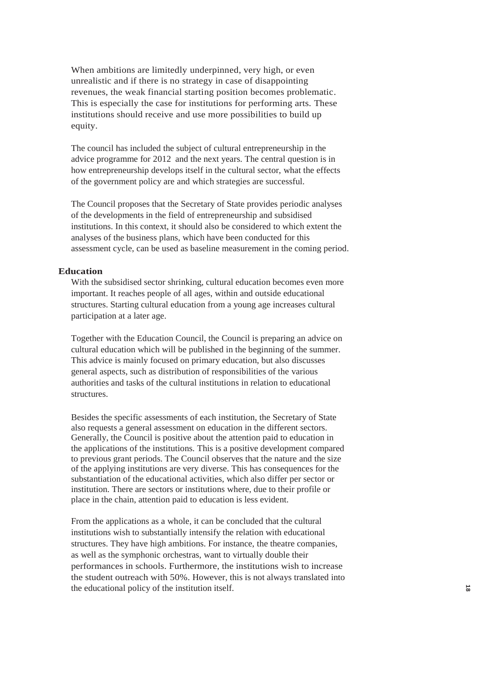When ambitions are limitedly underpinned, very high, or even unrealistic and if there is no strategy in case of disappointing revenues, the weak financial starting position becomes problematic. This is especially the case for institutions for performing arts. These institutions should receive and use more possibilities to build up equity.

The council has included the subject of cultural entrepreneurship in the advice programme for 2012 and the next years. The central question is in how entrepreneurship develops itself in the cultural sector, what the effects of the government policy are and which strategies are successful.

The Council proposes that the Secretary of State provides periodic analyses of the developments in the field of entrepreneurship and subsidised institutions. In this context, it should also be considered to which extent the analyses of the business plans, which have been conducted for this assessment cycle, can be used as baseline measurement in the coming period.

### **Education**

With the subsidised sector shrinking, cultural education becomes even more important. It reaches people of all ages, within and outside educational structures. Starting cultural education from a young age increases cultural participation at a later age.

Together with the Education Council, the Council is preparing an advice on cultural education which will be published in the beginning of the summer. This advice is mainly focused on primary education, but also discusses general aspects, such as distribution of responsibilities of the various authorities and tasks of the cultural institutions in relation to educational structures.

Besides the specific assessments of each institution, the Secretary of State also requests a general assessment on education in the different sectors. Generally, the Council is positive about the attention paid to education in the applications of the institutions. This is a positive development compared to previous grant periods. The Council observes that the nature and the size of the applying institutions are very diverse. This has consequences for the substantiation of the educational activities, which also differ per sector or institution. There are sectors or institutions where, due to their profile or place in the chain, attention paid to education is less evident.

From the applications as a whole, it can be concluded that the cultural institutions wish to substantially intensify the relation with educational structures. They have high ambitions. For instance, the theatre companies, as well as the symphonic orchestras, want to virtually double their performances in schools. Furthermore, the institutions wish to increase the student outreach with 50%. However, this is not always translated into the educational policy of the institution itself.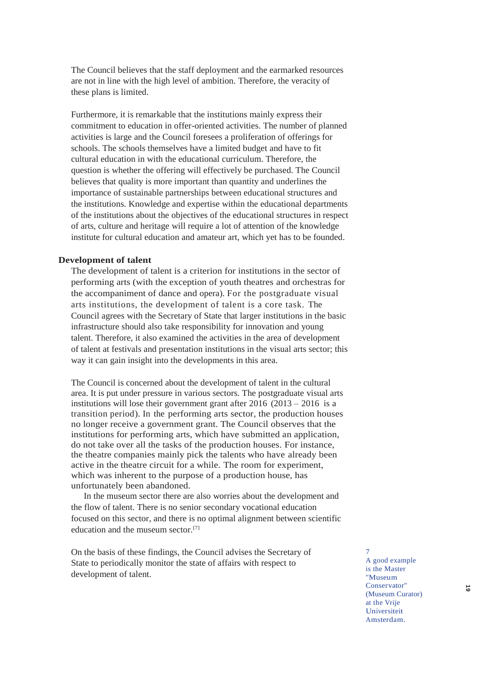The Council believes that the staff deployment and the earmarked resources are not in line with the high level of ambition. Therefore, the veracity of these plans is limited.

Furthermore, it is remarkable that the institutions mainly express their commitment to education in offer-oriented activities. The number of planned activities is large and the Council foresees a proliferation of offerings for schools. The schools themselves have a limited budget and have to fit cultural education in with the educational curriculum. Therefore, the question is whether the offering will effectively be purchased. The Council believes that quality is more important than quantity and underlines the importance of sustainable partnerships between educational structures and the institutions. Knowledge and expertise within the educational departments of the institutions about the objectives of the educational structures in respect of arts, culture and heritage will require a lot of attention of the knowledge institute for cultural education and amateur art, which yet has to be founded.

### **Development of talent**

The development of talent is a criterion for institutions in the sector of performing arts (with the exception of youth theatres and orchestras for the accompaniment of dance and opera). For the postgraduate visual arts institutions, the development of talent is a core task. The Council agrees with the Secretary of State that larger institutions in the basic infrastructure should also take responsibility for innovation and young talent. Therefore, it also examined the activities in the area of development of talent at festivals and presentation institutions in the visual arts sector; this way it can gain insight into the developments in this area.

The Council is concerned about the development of talent in the cultural area. It is put under pressure in various sectors. The postgraduate visual arts institutions will lose their government grant after 2016 (2013 – 2016 is a transition period). In the performing arts sector, the production houses no longer receive a government grant. The Council observes that the institutions for performing arts, which have submitted an application, do not take over all the tasks of the production houses. For instance, the theatre companies mainly pick the talents who have already been active in the theatre circuit for a while. The room for experiment, which was inherent to the purpose of a production house, has unfortunately been abandoned.

In the museum sector there are also worries about the development and the flow of talent. There is no senior secondary vocational education focused on this sector, and there is no optimal alignment between scientific education and the museum sector.[7]

On the basis of these findings, the Council advises the Secretary of State to periodically monitor the state of affairs with respect to development of talent.

7 A good example is the Master "Museum Conservator" (Museum Curator) at the Vrije Universiteit Amsterdam.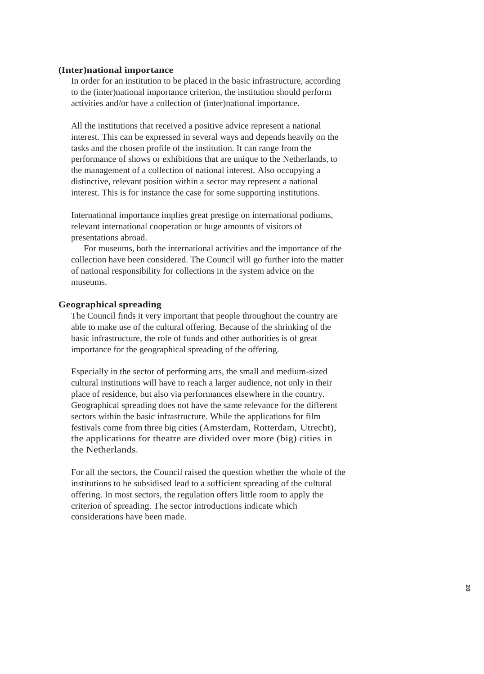### **(Inter)national importance**

In order for an institution to be placed in the basic infrastructure, according to the (inter)national importance criterion, the institution should perform activities and/or have a collection of (inter)national importance.

All the institutions that received a positive advice represent a national interest. This can be expressed in several ways and depends heavily on the tasks and the chosen profile of the institution. It can range from the performance of shows or exhibitions that are unique to the Netherlands, to the management of a collection of national interest. Also occupying a distinctive, relevant position within a sector may represent a national interest. This is for instance the case for some supporting institutions.

International importance implies great prestige on international podiums, relevant international cooperation or huge amounts of visitors of presentations abroad.

For museums, both the international activities and the importance of the collection have been considered. The Council will go further into the matter of national responsibility for collections in the system advice on the museums.

### **Geographical spreading**

The Council finds it very important that people throughout the country are able to make use of the cultural offering. Because of the shrinking of the basic infrastructure, the role of funds and other authorities is of great importance for the geographical spreading of the offering.

Especially in the sector of performing arts, the small and medium-sized cultural institutions will have to reach a larger audience, not only in their place of residence, but also via performances elsewhere in the country. Geographical spreading does not have the same relevance for the different sectors within the basic infrastructure. While the applications for film festivals come from three big cities (Amsterdam, Rotterdam, Utrecht), the applications for theatre are divided over more (big) cities in the Netherlands.

For all the sectors, the Council raised the question whether the whole of the institutions to be subsidised lead to a sufficient spreading of the cultural offering. In most sectors, the regulation offers little room to apply the criterion of spreading. The sector introductions indicate which considerations have been made.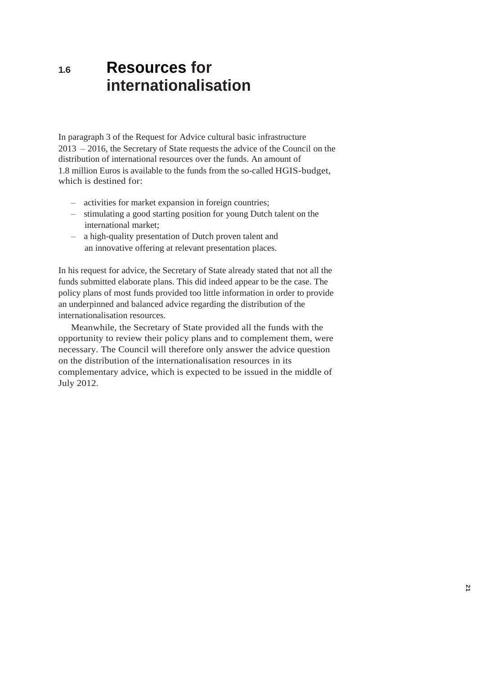## **1.6 Resources for internationalisation**

In paragraph 3 of the Request for Advice cultural basic infrastructure 2013 – 2016, the Secretary of State requests the advice of the Council on the distribution of international resources over the funds. An amount of 1.8 million Euros is available to the funds from the so-called HGIS-budget, which is destined for:

- activities for market expansion in foreign countries;
- stimulating a good starting position for young Dutch talent on the international market;
- a high-quality presentation of Dutch proven talent and an innovative offering at relevant presentation places.

In his request for advice, the Secretary of State already stated that not all the funds submitted elaborate plans. This did indeed appear to be the case. The policy plans of most funds provided too little information in order to provide an underpinned and balanced advice regarding the distribution of the internationalisation resources.

Meanwhile, the Secretary of State provided all the funds with the opportunity to review their policy plans and to complement them, were necessary. The Council will therefore only answer the advice question on the distribution of the internationalisation resources in its complementary advice, which is expected to be issued in the middle of July 2012.